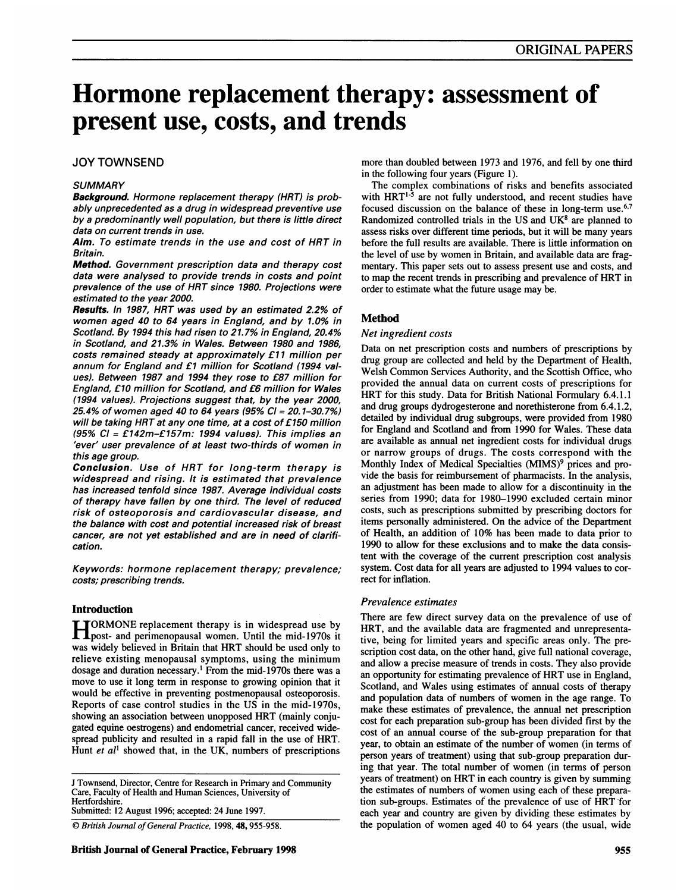# Hormone replacement therapy: assessment of present use, costs, and trends

### JOY TOWNSEND

#### **SUMMARY**

Background. Hormone replacement therapy (HRT) is probably unprecedented as a drug in widespread preventive use by a predominantly well population, but there is little direct data on current trends in use.

Aim. To estimate trends in the use and cost of HRT in Britain.

Method. Government prescription data and therapy cost data were analysed to provide trends in costs and point prevalence of the use of HRT since 1980. Projections were estimated to the year 2000.

Results. In 1987, HRT was used by an estimated 2.2% of women aged 40 to 64 years in England, and by 1.0% in Scotland. By 1994 this had risen to 21.7% in England, 20.4% in Scotland, and 21.3% in Wales. Between 1980 and 1986, costs remained steady at approximately £11 million per annum for England and £1 million for Scotland (1994 values). Between 1987 and 1994 they rose to £87 million for England, £10 million for Scotland, and £6 million for Wales (1994 values). Projections suggest that, by the year 2000, 25.4% of women aged 40 to 64 years (95% Cl = 20.1-30.7%) will be taking HRT at any one time, at a cost of £150 million (95% Cl = £142m-£157m: 1994 values). This implies an 'ever' user prevalence of at least two-thirds of women in this age group.

Conclusion. Use of HRT for long-term therapy is widespread and rising. It is estimated that prevalence has increased tenfold since 1987. Average individual costs of therapy have fallen by one third. The level of reduced risk of osteoporosis and cardiovascular disease, and the balance with cost and potential increased risk of breast cancer, are not yet established and are in need of clarification.

Keywords: hormone replacement therapy; prevalence; costs; prescribing trends.

#### Introduction

[ORMONE replacement therapy is in widespread use by **Theoret-** and perimenopausal women. Until the mid-1970s it was widely believed in Britain that HRT should be used only to relieve existing menopausal symptoms, using the minimum dosage and duration necessary.' From the mid-1970s there was a move to use it long term in response to growing opinion that it would be effective in preventing postmenopausal osteoporosis. Reports of case control studies in the US in the mid-1970s, showing an association between unopposed HRT (mainly conjugated equine oestrogens) and endometrial cancer, received widespread publicity and resulted in a rapid fall in the use of HRT. Hunt et  $al^1$  showed that, in the UK, numbers of prescriptions

J Townsend, Director, Centre for Research in Primary and Community Care, Faculty of Health and Human Sciences, University of Hertfordshire.

Submitted: 12 August 1996; accepted: 24 June 1997.

© British Journal of General Practice, 1998, 48, 955-958.

more than doubled between 1973 and 1976, and fell by one third in the following four years (Figure 1).

The complex combinations of risks and benefits associated with  $HRT^{1.5}$  are not fully understood, and recent studies have focused discussion on the balance of these in long-term use.<sup>6,7</sup> Randomized controlled trials in the US and  $UK<sup>8</sup>$  are planned to assess risks over different time periods, but it will be many years before the full results are available. There is little information on the level of use by women in Britain, and available data are fragmentary. This paper sets out to assess present use and costs, and to map the recent trends in prescribing and prevalence of HRT in order to estimate what the future usage may be.

#### Method

#### Net ingredient costs

Data on net prescription costs and numbers of prescriptions by drug group are collected and held by the Department of Health, Welsh Common Services Authority, and the Scottish Office, who provided the annual data on current costs of prescriptions for HRT for this study. Data for British National Formulary 6.4.1.1 and drug groups dydrogesterone and norethisterone from 6.4.1.2, detailed by individual drug subgroups, were provided from 1980 for England and Scotland and from 1990 for Wales. These data are available as annual net ingredient costs for individual drugs or narrow groups of drugs. The costs correspond with the Monthly Index of Medical Specialties (MIMS)<sup>9</sup> prices and provide the basis for reimbursement of pharmacists. In the analysis, an adjustment has been made to allow for a discontinuity in the series from 1990; data for 1980-1990 excluded certain minor costs, such as prescriptions submitted by prescribing doctors for items personally administered. On the advice of the Department of Health, an addition of 10% has been made to data prior to 1990 to allow for these exclusions and to make the data consistent with the coverage of the current prescription cost analysis system. Cost data for all years are adjusted to 1994 values to correct for inflation.

#### Prevalence estimates

There are few direct survey data on the prevalence of use of HRT, and the available data are fragmented and unrepresentative, being for limited years and specific areas only. The prescription cost data, on the other hand, give full national coverage, and allow a precise measure of trends in costs. They also provide an opportunity for estimating prevalence of HRT use in England, Scotland, and Wales using estimates of annual costs of therapy and population data of numbers of women in the age range. To make these estimates of prevalence, the annual net prescription cost for each preparation sub-group has been divided first by the cost of an annual course of the sub-group preparation for that year, to obtain an estimate of the number of women (in terms of person years of treatment) using that sub-group preparation during that year. The total number of women (in terms of person years of treatment) on HRT in each country is given by summing the estimates of numbers of women using each of these preparation sub-groups. Estimates of the prevalence of use of HRT for each year and country are given by dividing these estimates by the population of women aged 40 to 64 years (the usual, wide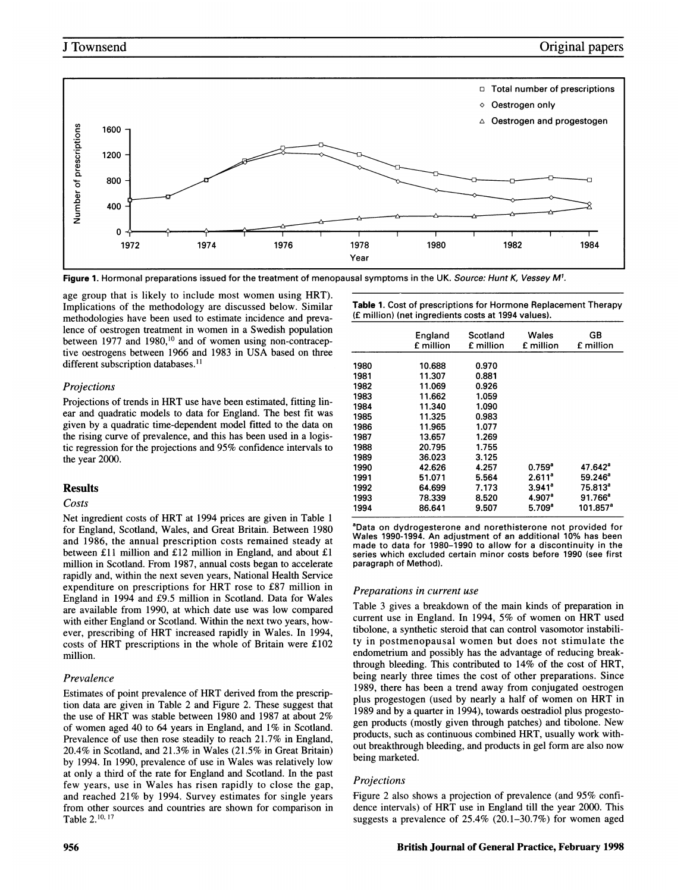

Figure 1. Hormonal preparations issued for the treatment of menopausal symptoms in the UK. Source: Hunt K, Vessey M<sup>1</sup>.

age group that is likely to include most women using HRT). Implications of the methodology are discussed below. Similar methodologies have been used to estimate incidence and prevalence of oestrogen treatment in women in <sup>a</sup> Swedish population between 1977 and 1980,<sup>10</sup> and of women using non-contraceptive oestrogens between 1966 and <sup>1983</sup> in USA based on three different subscription databases.<sup>11</sup>

#### Projections

Projections of trends in HRT use have been estimated, fitting linear and quadratic models to data for England. The best fit was given by a quadratic time-dependent model fitted to the data on the rising curve of prevalence, and this has been used in a logistic regression for the projections and 95% confidence intervals to the year 2000.

#### Results

#### Costs

Net ingredient costs of HRT at 1994 prices are given in Table <sup>1</sup> for England, Scotland, Wales, and Great Britain. Between 1980 and 1986, the annual prescription costs remained steady at between £11 million and £12 million in England, and about £1 million in Scotland. From 1987, annual costs began to accelerate rapidly and, within the next seven years, National Health Service expenditure on prescriptions for HRT rose to £87 million in England in 1994 and £9.5 million in Scotland. Data for Wales are available from 1990, at which date use was low compared with either England or Scotland. Within the next two years, however, prescribing of HRT increased rapidly in Wales. In 1994, costs of HRT prescriptions in the whole of Britain were £102 million.

#### Prevalence

Estimates of point prevalence of HRT derived from the prescription data are given in Table 2 and Figure 2. These suggest that the use of HRT was stable between 1980 and 1987 at about 2% of women aged 40 to 64 years in England, and 1% in Scotland. Prevalence of use then rose steadily to reach 21.7% in England, 20.4% in Scotland, and 21.3% in Wales (21.5% in Great Britain) by 1994. In 1990, prevalence of use in Wales was relatively low at only a third of the rate for England and Scotland. In the past few years, use in Wales has risen rapidly to close the gap, and reached 21% by 1994. Survey estimates for single years from other sources and countries are shown for comparison in Table 2.10, <sup>17</sup>

| <b>Table 1.</b> Cost of prescriptions for Hormone Replacement Therapy |
|-----------------------------------------------------------------------|
| (£ million) (net ingredients costs at 1994 values).                   |

|      | England<br>£ million | Scotland<br>£ million | Wales<br>£ million | GB<br>£ million       |
|------|----------------------|-----------------------|--------------------|-----------------------|
| 1980 | 10.688               | 0.970                 |                    |                       |
| 1981 | 11.307               | 0.881                 |                    |                       |
| 1982 | 11.069               | 0.926                 |                    |                       |
| 1983 | 11.662               | 1.059                 |                    |                       |
| 1984 | 11.340               | 1.090                 |                    |                       |
| 1985 | 11.325               | 0.983                 |                    |                       |
| 1986 | 11.965               | 1.077                 |                    |                       |
| 1987 | 13.657               | 1.269                 |                    |                       |
| 1988 | 20.795               | 1.755                 |                    |                       |
| 1989 | 36.023               | 3.125                 |                    |                       |
| 1990 | 42.626               | 4.257                 | $0.759^{\circ}$    | $47.642$ <sup>a</sup> |
| 1991 | 51.071               | 5.564                 | 2.611 <sup>a</sup> | $59.246^a$            |
| 1992 | 64.699               | 7.173                 | $3.941^a$          | 75.813 <sup>a</sup>   |
| 1993 | 78.339               | 8.520                 | 4.907 <sup>a</sup> | $91.766^a$            |
| 1994 | 86.641               | 9.507                 | $5.709^{\circ}$    | 101.857ª              |

<sup>a</sup>Data on dydrogesterone and norethisterone not provided for Wales 1990-1994. An adjustment of an additional 10% has been made to data for 1980-1990 to allow for <sup>a</sup> discontinuity in the series which excluded certain minor costs before 1990 (see first paragraph of Method).

#### Preparations in current use

Table 3 gives a breakdown of the main kinds of preparation in current use in England. In 1994, 5% of women on HRT used tibolone, a synthetic steroid that can control vasomotor instability in postmenopausal women but does not stimulate the endometrium and possibly has the advantage of reducing breakthrough bleeding. This contributed to 14% of the cost of HRT, being nearly three times the cost of other preparations. Since 1989, there has been a trend away from conjugated oestrogen plus progestogen (used by nearly <sup>a</sup> half of women on HRT in 1989 and by a quarter in 1994), towards oestradiol plus progestogen products (mostly given through patches) and tibolone. New products, such as continuous combined HRT, usually work without breakthrough bleeding, and products in gel form are also now being marketed.

#### Projections

Figure 2 also shows <sup>a</sup> projection of prevalence (and 95% confidence intervals) of HRT use in England till the year 2000. This suggests <sup>a</sup> prevalence of 25.4% (20.1-30.7%) for women aged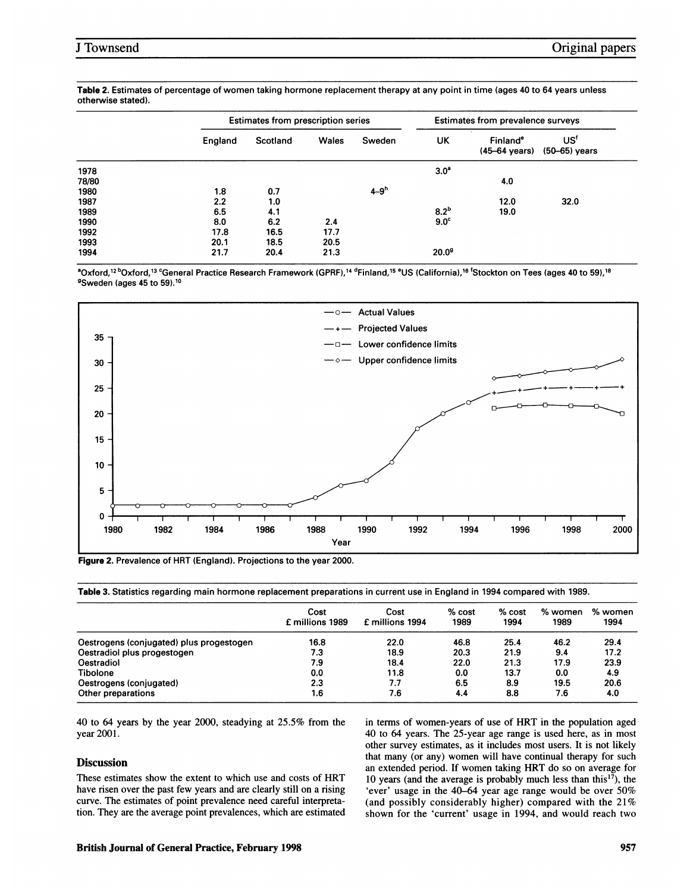|       |         | <b>Estimates from prescription series</b> |       |          | Estimates from prevalence surveys |                                       |                                    |  |
|-------|---------|-------------------------------------------|-------|----------|-----------------------------------|---------------------------------------|------------------------------------|--|
|       | England | Scotland                                  | Wales | Sweden   | UK                                | Finland <sup>e</sup><br>(45–64 years) | US <sup>f</sup><br>$(50-65)$ years |  |
| 1978  |         |                                           |       |          | 3.0 <sup>a</sup>                  |                                       |                                    |  |
| 78/80 |         |                                           |       |          |                                   | 4.0                                   |                                    |  |
| 1980  | 1.8     | 0.7                                       |       | $4 - 9h$ |                                   |                                       |                                    |  |
| 1987  | 2.2     | 1.0                                       |       |          |                                   | 12.0                                  | 32.0                               |  |
| 1989  | 6.5     | 4.1                                       |       |          | 8.2 <sup>b</sup>                  | 19.0                                  |                                    |  |
| 1990  | 8.0     | 6.2                                       | 2.4   |          | 9.0 <sup>c</sup>                  |                                       |                                    |  |
| 1992  | 17.8    | 16.5                                      | 17.7  |          |                                   |                                       |                                    |  |
| 1993  | 20.1    | 18.5                                      | 20.5  |          |                                   |                                       |                                    |  |
| 1994  | 21.7    | 20.4                                      | 21.3  |          | 20.0 <sup>9</sup>                 |                                       |                                    |  |

Table 2. Estimates of percentage of women taking hormone replacement therapy at any point in time (ages 40 to 64 years unless otherwise stated).

<sup>a</sup>Oxford,<sup>12 b</sup>Oxford,<sup>13 c</sup>General Practice Research Framework (GPRF),<sup>14 d</sup>Finland,<sup>15 e</sup>US (California),<sup>16</sup> <sup>f</sup>Stockton on Tees (ages 40 to 59),<sup>18</sup> <sup>9</sup>Sweden (ages 45 to 59).<sup>10</sup>



Figure 2. Prevalence of HRT (England). Projections to the year 2000.

Table 3. Statistics regarding main hormone replacement preparations in current use in England in 1994 compared with 1989.

|                                          | Cost<br>£ millions 1989 | Cost<br>£ millions 1994 | % cost<br>1989 | % cost<br>1994 | % women<br>1989 | % women<br>1994 |
|------------------------------------------|-------------------------|-------------------------|----------------|----------------|-----------------|-----------------|
| Oestrogens (conjugated) plus progestogen | 16.8                    | 22.0                    | 46.8           | 25.4           | 46.2            | 29.4            |
| Oestradiol plus progestogen              | 7.3                     | 18.9                    | 20.3           | 21.9           | 9.4             | 17.2            |
| Oestradiol                               | 7.9                     | 18.4                    | 22.0           | 21.3           | 17.9            | 23.9            |
| <b>Tibolone</b>                          | 0.0                     | 11.8                    | 0.0            | 13.7           | 0.0             | 4.9             |
| Oestrogens (conjugated)                  | 2.3                     | 7.7                     | 6.5            | 8.9            | 19.5            | 20.6            |
| Other preparations                       | 1.6                     | 7.6                     | 4.4            | 8.8            | 7.6             | 4.0             |

40 to 64 years by the year 2000, steadying at 25.5% from the year 2001.

#### **Discussion**

These estimates show the extent to which use and costs of HRT have risen over the past few years and are clearly still on a rising curve. The estimates of point prevalence need careful interpretation. They are the average point prevalences, which are estimated in terms of women-years of use of HRT in the population aged 40 to 64 years. The 25-year age range is used here, as in most other survey estimates, as it includes most users. It is not likely that many (or any) women will have continual therapy for such an extended period. If women taking HRT do so on average for 10 years (and the average is probably much less than this'7), the 'ever' usage in the 40-64 year age range would be over 50% (and possibly considerably higher) compared with the 21% shown for the 'current' usage in 1994, and would reach two